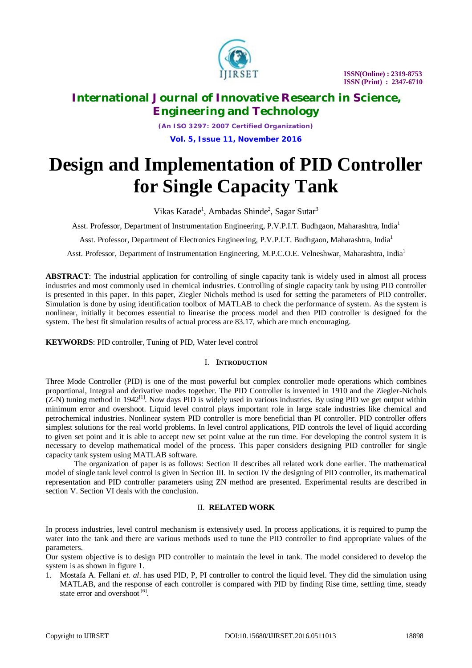

 **ISSN(Online) : 2319-8753 ISSN (Print) : 2347-6710**

## **International Journal of Innovative Research in Science, Engineering and Technology**

*(An ISO 3297: 2007 Certified Organization)* **Vol. 5, Issue 11, November 2016**

# **Design and Implementation of PID Controller for Single Capacity Tank**

Vikas Karade<sup>1</sup>, Ambadas Shinde<sup>2</sup>, Sagar Sutar<sup>3</sup>

Asst. Professor, Department of Instrumentation Engineering, P.V.P.I.T. Budhgaon, Maharashtra, India<sup>1</sup>

Asst. Professor, Department of Electronics Engineering, P.V.P.I.T. Budhgaon, Maharashtra, India<sup>1</sup>

Asst. Professor, Department of Instrumentation Engineering, M.P.C.O.E. Velneshwar, Maharashtra, India<sup>1</sup>

**ABSTRACT**: The industrial application for controlling of single capacity tank is widely used in almost all process industries and most commonly used in chemical industries. Controlling of single capacity tank by using PID controller is presented in this paper. In this paper, Ziegler Nichols method is used for setting the parameters of PID controller. Simulation is done by using identification toolbox of MATLAB to check the performance of system. As the system is nonlinear, initially it becomes essential to linearise the process model and then PID controller is designed for the system. The best fit simulation results of actual process are 83.17, which are much encouraging.

**KEYWORDS**: PID controller, Tuning of PID, Water level control

### I. **INTRODUCTION**

Three Mode Controller (PID) is one of the most powerful but complex controller mode operations which combines proportional, Integral and derivative modes together. The PID Controller is invented in 1910 and the Ziegler-Nichols  $(Z-N)$  tuning method in 1942<sup>[1]</sup>. Now days PID is widely used in various industries. By using PID we get output within minimum error and overshoot. Liquid level control plays important role in large scale industries like chemical and petrochemical industries. Nonlinear system PID controller is more beneficial than PI controller. PID controller offers simplest solutions for the real world problems. In level control applications, PID controls the level of liquid according to given set point and it is able to accept new set point value at the run time. For developing the control system it is necessary to develop mathematical model of the process. This paper considers designing PID controller for single capacity tank system using MATLAB software.

The organization of paper is as follows: Section II describes all related work done earlier. The mathematical model of single tank level control is given in Section III. In section IV the designing of PID controller, its mathematical representation and PID controller parameters using ZN method are presented. Experimental results are described in section V. Section VI deals with the conclusion.

### II. **RELATED WORK**

In process industries, level control mechanism is extensively used. In process applications, it is required to pump the water into the tank and there are various methods used to tune the PID controller to find appropriate values of the parameters.

Our system objective is to design PID controller to maintain the level in tank. The model considered to develop the system is as shown in figure 1.

1. Mostafa A. Fellani *et. al*. has used PID, P, PI controller to control the liquid level. They did the simulation using MATLAB, and the response of each controller is compared with PID by finding Rise time, settling time, steady state error and overshoot<sup>[6]</sup>.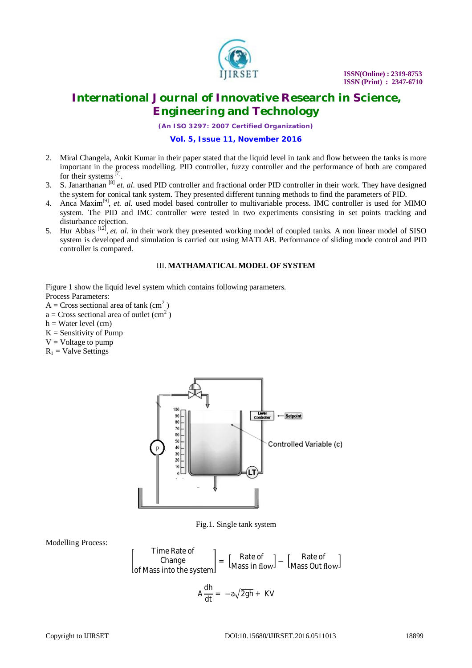

*(An ISO 3297: 2007 Certified Organization)*

#### **Vol. 5, Issue 11, November 2016**

- 2. Miral Changela, Ankit Kumar in their paper stated that the liquid level in tank and flow between the tanks is more important in the process modelling. PID controller, fuzzy controller and the performance of both are compared for their systems  $[7]$ .
- 3. S. Janarthanan [8] *et. al.* used PID controller and fractional order PID controller in their work. They have designed the system for conical tank system. They presented different tunning methods to find the parameters of PID.
- 4. Anca Maxim<sup>[9]</sup>, et. al. used model based controller to multivariable process. IMC controller is used for MIMO system. The PID and IMC controller were tested in two experiments consisting in set points tracking and disturbance rejection.
- 5. Hur Abbas <sup>[12]</sup>, *et. al.* in their work they presented working model of coupled tanks. A non linear model of SISO system is developed and simulation is carried out using MATLAB. Performance of sliding mode control and PID controller is compared.

## III. **MATHAMATICAL MODEL OF SYSTEM**

Figure 1 show the liquid level system which contains following parameters.

- Process Parameters:
- $A = Cross$  sectional area of tank (cm<sup>2</sup>)  $a = Cross$  sectional area of outlet  $(cm<sup>2</sup>)$
- $h = Water level (cm)$
- 
- $K =$  Sensitivity of Pump  $V = Vol$  tage to pump
- 
- $R_1$  = Valve Settings



Fig.1. Single tank system

Modelling Process:

$$
\begin{bmatrix} \text{Time Rate of} \\ \text{Change} \\ \text{of Mass into the system} \end{bmatrix} = \begin{bmatrix} \text{Rate of} \\ \text{Mass in flow} \end{bmatrix} - \begin{bmatrix} \text{Rate of} \\ \text{Mass Out flow} \end{bmatrix}
$$

$$
A \frac{dh}{dt} = -a\sqrt{2gh} + KV
$$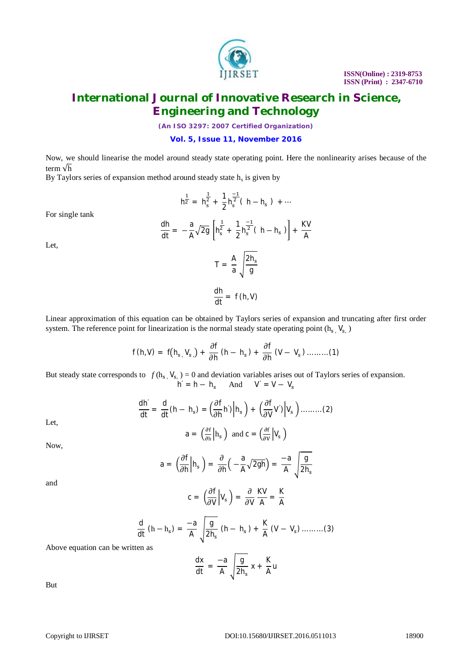

*(An ISO 3297: 2007 Certified Organization)*

**Vol. 5, Issue 11, November 2016**

Now, we should linearise the model around steady state operating point. Here the nonlinearity arises because of the term √h

By Taylors series of expansion method around steady state  $h_s$  is given by

$$
h^{\tfrac{1}{2}} = h_s^{\tfrac{1}{2}} + \frac{1}{2} h_s^{\tfrac{-1}{2}}(\ h - h_s\ )\ + \cdots
$$

For single tank

$$
\frac{dh}{dt} = -\frac{a}{A}\sqrt{2g} \left[ h_s^{\frac{1}{2}} + \frac{1}{2}h_s^{\frac{-1}{2}}(h - h_s) \right] + \frac{KV}{A}
$$

 $\frac{A}{a}$   $\frac{2h_s}{g}$ g

 $T = \frac{A}{a}$ 

Let,

Linear approximation of this equation can be obtained by Taylors series of expansion and truncating after first order system. The reference point for linearization is the normal steady state operating point  $(h_s, V_s)$ 

 $\frac{dh}{dt} = f(h, V)$ 

$$
f(h,V) = f(h_{s}, V_{s.}) + \frac{\partial f}{\partial h}(h - h_{s}) + \frac{\partial f}{\partial h}(V - V_{s}) \dots \dots (1)
$$

But steady state corresponds to  $f(h_s, V_{s}) = 0$  and deviation variables arises out of Taylors series of expansion.  $h' = h - h_s$  And  $V' = V - V_s$ 

$$
\frac{dh'}{dt} = \frac{d}{dt}(h - h_s) = \left(\frac{\partial f}{\partial h}h'\right) \Big| h_s\Big| + \left(\frac{\partial f}{\partial V}V'\right) \Big| V_s\Big| \dots \dots \dots (2)
$$

Let,

$$
a = \left(\frac{\partial f}{\partial h}\Big| h_s\right) \text{ and } c = \left(\frac{\partial f}{\partial v}\Big| V_s\right)
$$

Now,

$$
a = \left(\frac{\partial f}{\partial h}\middle| h_s\right) = \frac{\partial}{\partial h}\left(-\frac{a}{A}\sqrt{2gh}\right) = \frac{-a}{A}\sqrt{\frac{g}{2h_s}}
$$

and

$$
c = \left(\frac{\partial f}{\partial V}\middle|V_s\right) = \frac{\partial}{\partial V}\frac{KV}{A} = \frac{K}{A}
$$

$$
\frac{d}{dt} (h - h_s) = \frac{-a}{A} \sqrt{\frac{g}{2h_s} (h - h_s) + \frac{K}{A} (V - V_s) \dots \dots \dots (3)}
$$

Above equation can be written as

$$
\frac{dx}{dt} = -\frac{a}{A} \sqrt{\frac{g}{2h_s}} x + \frac{K}{A} u
$$

But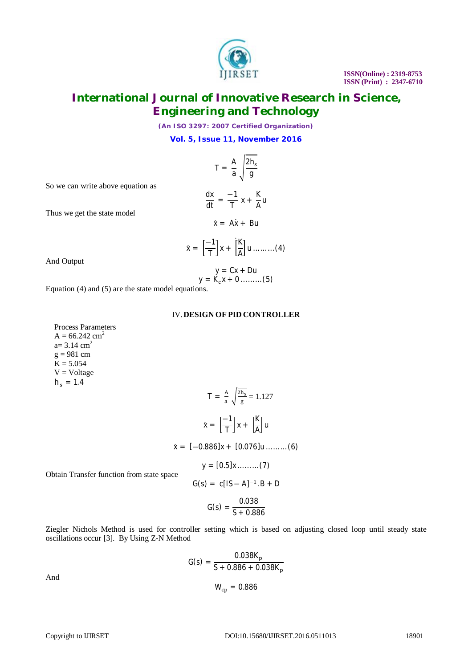*(An ISO 3297: 2007 Certified Organization)*

**Vol. 5, Issue 11, November 2016**

$$
T = \frac{A}{a} \sqrt{\frac{2h_s}{g}}
$$

 $\frac{-1}{T}$  x +  $\frac{K}{A}$ 

 $\frac{1}{\mathsf{A}}$ u

So we can write above equation as

Thus we get the state model

$$
\dot{x} = A\dot{x} + Bu
$$

 $\frac{dx}{dt} = \frac{-1}{T}$ 

$$
\dot{x} = \left[\frac{-1}{T}\right]x + \left[\frac{K}{A}\right]u \dots \dots \dots (4)
$$

And Output

$$
y = Cx + Du
$$

$$
y = K_c x + 0 \dots \dots \dots (5)
$$

Equation (4) and (5) are the state model equations.

### IV.**DESIGN OF PID CONTROLLER**

Process Parameters  $A = 66.242$  cm<sup>2</sup>  $a= 3.14$  cm<sup>2</sup>  $g = 981$  cm  $K = 5.054$  $V = Voltage$  $h_s = 1.4$ 

$$
T = \frac{A}{a} \sqrt{\frac{2h_s}{g}} = 1.127
$$

$$
\dot{x} = \left[\frac{-1}{T}\right]x + \left[\frac{K}{A}\right]u
$$

$$
\dot{x} = [-0.886]x + [0.076]u \dots \dots \dots (6)
$$

 $y = [0.5]x \dots (7)$ 

Obtain Transfer function from state space

$$
G(s) = \frac{0.038}{S + 0.886}
$$

 $G(s) = c[1S - A]^{-1}$ . B + D

Ziegler Nichols Method is used for controller setting which is based on adjusting closed loop until steady state oscillations occur [3]. By Using Z-N Method

$$
G(s) = \frac{0.038K_p}{S + 0.886 + 0.038K_p}
$$

$$
W_{cp} = 0.886
$$

And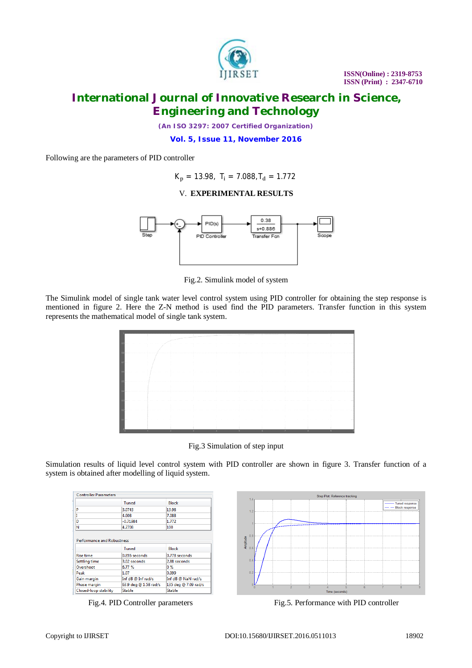

*(An ISO 3297: 2007 Certified Organization)*

**Vol. 5, Issue 11, November 2016**

Following are the parameters of PID controller

 $K_p = 13.98$ ,  $T_i = 7.088$ ,  $T_d = 1.772$ 

## V. **EXPERIMENTAL RESULTS**



Fig.2. Simulink model of system

The Simulink model of single tank water level control system using PID controller for obtaining the step response is mentioned in figure 2. Here the Z-N method is used find the PID parameters. Transfer function in this system represents the mathematical model of single tank system.



Fig.3 Simulation of step input

Simulation results of liquid level control system with PID controller are shown in figure 3. Transfer function of a system is obtained after modelling of liquid system.

| <b>Controller Parameters</b>      |                       |                      |
|-----------------------------------|-----------------------|----------------------|
|                                   | <b>Tuned</b>          | Block                |
| P                                 | 3.0743                | 13.98                |
|                                   | 4.608                 | 7.088                |
| D                                 | $-0.71984$            | 1.772                |
| N                                 | 4.2708                | 100                  |
| <b>Performance and Robustness</b> |                       |                      |
|                                   | Tuned                 | Block                |
| <b>Rise time</b>                  | 0.855 seconds         | 0.778 seconds        |
| Settling time                     | 3.02 seconds          | 2.88 seconds         |
| Overshoot                         | 6.77 %                | $0\%$                |
| Peak                              | 1.07                  | 0.999                |
| Gain margin                       | Inf dB @ Inf rad/s    | Inf dB @ NaN rad/s   |
| Phase margin                      | 63.9 deg @ 1.58 rad/s | 135 deg @ 7.09 rad/s |



Fig.4. PID Controller parameters Fig.5. Performance with PID controller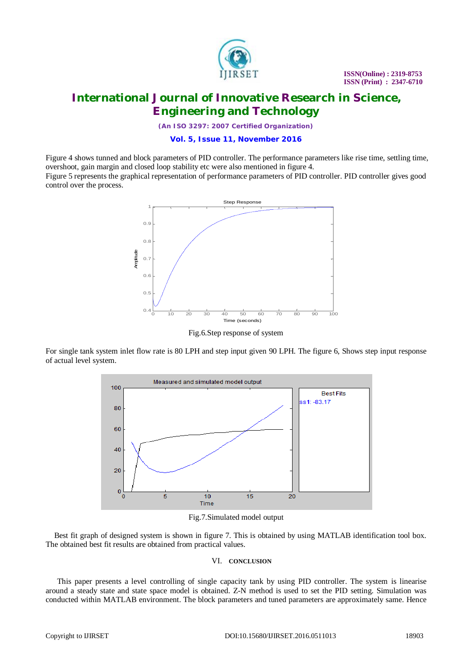

 **ISSN(Online) : 2319-8753 ISSN (Print) : 2347-6710**

## **International Journal of Innovative Research in Science, Engineering and Technology**

*(An ISO 3297: 2007 Certified Organization)*

**Vol. 5, Issue 11, November 2016**

Figure 4 shows tunned and block parameters of PID controller. The performance parameters like rise time, settling time, overshoot, gain margin and closed loop stability etc were also mentioned in figure 4.

Figure 5 represents the graphical representation of performance parameters of PID controller. PID controller gives good control over the process.



Fig.6.Step response of system

For single tank system inlet flow rate is 80 LPH and step input given 90 LPH. The figure 6, Shows step input response of actual level system.



Fig.7.Simulated model output

Best fit graph of designed system is shown in figure 7. This is obtained by using MATLAB identification tool box. The obtained best fit results are obtained from practical values.

### VI. **CONCLUSION**

This paper presents a level controlling of single capacity tank by using PID controller. The system is linearise around a steady state and state space model is obtained. Z-N method is used to set the PID setting. Simulation was conducted within MATLAB environment. The block parameters and tuned parameters are approximately same. Hence